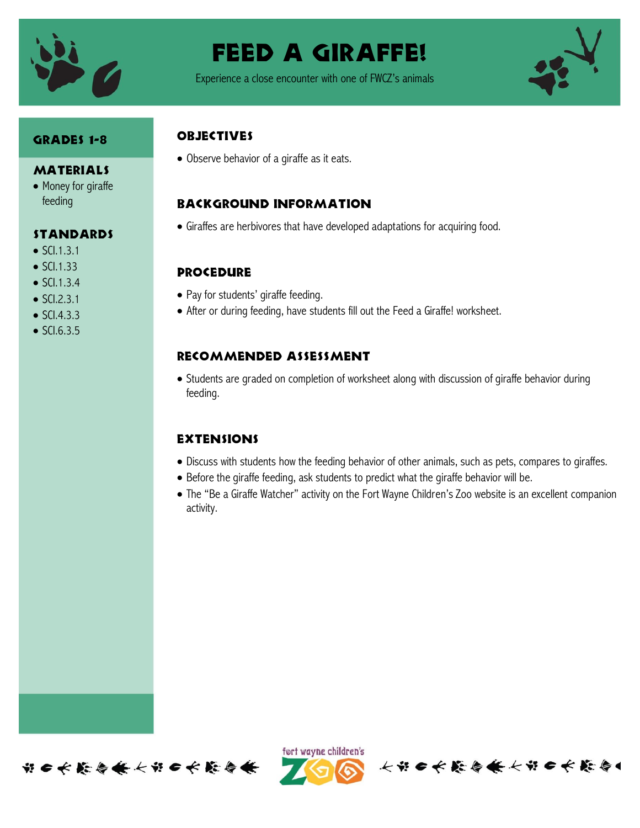

# FEED A GIRAFFE!

Experience a close encounter with one of FWCZ's animals



## Grades 1-8

#### MATERIALS

• Money for giraffe feeding

## **STANDARDS**

- $\bullet$  SCI.1.3.1
- $\bullet$  SCI.1.33
- $\bullet$  SCI.1.3.4
- $\bullet$  SCI.2.3.1
- $\bullet$  SCI.4.3.3
- $\bullet$  SCI.6.3.5

## **OBJECTIVES**

Observe behavior of a giraffe as it eats.

## Background information

Giraffes are herbivores that have developed adaptations for acquiring food.

## **PROCEDURE**

- Pay for students' giraffe feeding.
- After or during feeding, have students fill out the Feed a Giraffe! worksheet.

## Recommended assessment

 Students are graded on completion of worksheet along with discussion of giraffe behavior during feeding.

#### **EXTENSIONS**

- Discuss with students how the feeding behavior of other animals, such as pets, compares to giraffes.
- Before the giraffe feeding, ask students to predict what the giraffe behavior will be.
- The "Be a Giraffe Watcher" activity on the Fort Wayne Children's Zoo website is an excellent companion activity.





长节日长能与长长节日长能与